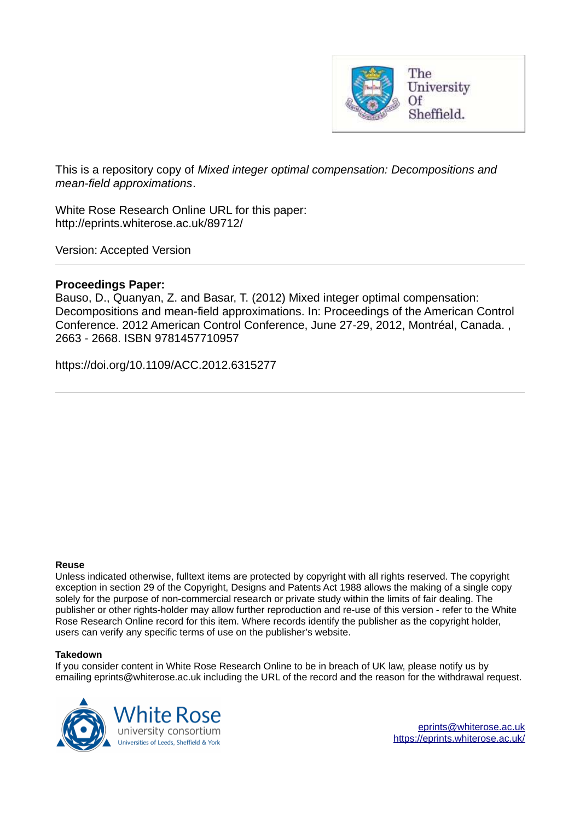

This is a repository copy of *Mixed integer optimal compensation: Decompositions and mean-field approximations*.

White Rose Research Online URL for this paper: http://eprints.whiterose.ac.uk/89712/

Version: Accepted Version

## **Proceedings Paper:**

Bauso, D., Quanyan, Z. and Basar, T. (2012) Mixed integer optimal compensation: Decompositions and mean-field approximations. In: Proceedings of the American Control Conference. 2012 American Control Conference, June 27-29, 2012, Montréal, Canada. , 2663 - 2668. ISBN 9781457710957

https://doi.org/10.1109/ACC.2012.6315277

### **Reuse**

Unless indicated otherwise, fulltext items are protected by copyright with all rights reserved. The copyright exception in section 29 of the Copyright, Designs and Patents Act 1988 allows the making of a single copy solely for the purpose of non-commercial research or private study within the limits of fair dealing. The publisher or other rights-holder may allow further reproduction and re-use of this version - refer to the White Rose Research Online record for this item. Where records identify the publisher as the copyright holder, users can verify any specific terms of use on the publisher's website.

## **Takedown**

If you consider content in White Rose Research Online to be in breach of UK law, please notify us by emailing eprints@whiterose.ac.uk including the URL of the record and the reason for the withdrawal request.

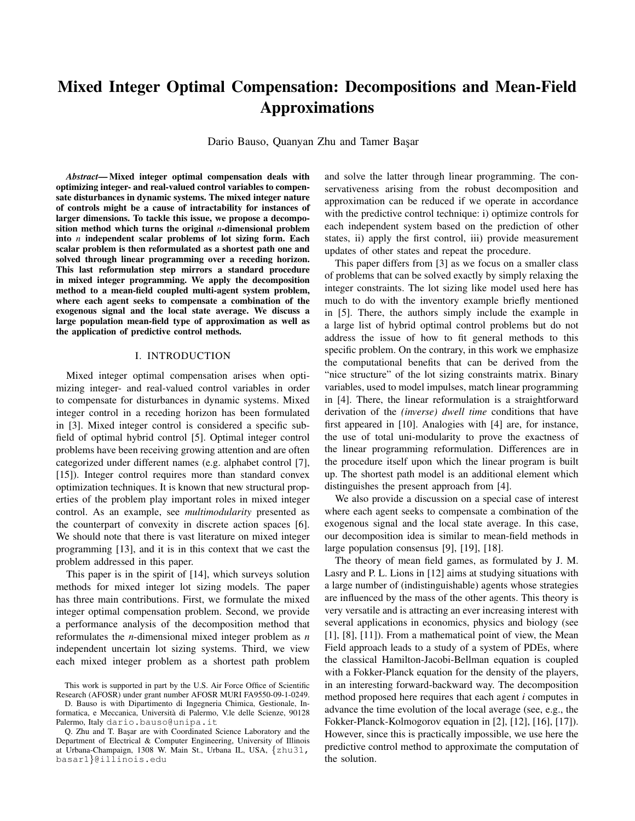# Mixed Integer Optimal Compensation: Decompositions and Mean-Field Approximations

Dario Bauso, Quanyan Zhu and Tamer Başar

*Abstract*— Mixed integer optimal compensation deals with optimizing integer- and real-valued control variables to compensate disturbances in dynamic systems. The mixed integer nature of controls might be a cause of intractability for instances of larger dimensions. To tackle this issue, we propose a decomposition method which turns the original *n*-dimensional problem into *n* independent scalar problems of lot sizing form. Each scalar problem is then reformulated as a shortest path one and solved through linear programming over a receding horizon. This last reformulation step mirrors a standard procedure in mixed integer programming. We apply the decomposition method to a mean-field coupled multi-agent system problem, where each agent seeks to compensate a combination of the exogenous signal and the local state average. We discuss a large population mean-field type of approximation as well as the application of predictive control methods.

#### I. INTRODUCTION

Mixed integer optimal compensation arises when optimizing integer- and real-valued control variables in order to compensate for disturbances in dynamic systems. Mixed integer control in a receding horizon has been formulated in [3]. Mixed integer control is considered a specific subfield of optimal hybrid control [5]. Optimal integer control problems have been receiving growing attention and are often categorized under different names (e.g. alphabet control [7], [15]). Integer control requires more than standard convex optimization techniques. It is known that new structural properties of the problem play important roles in mixed integer control. As an example, see *multimodularity* presented as the counterpart of convexity in discrete action spaces [6]. We should note that there is vast literature on mixed integer programming [13], and it is in this context that we cast the problem addressed in this paper.

This paper is in the spirit of [14], which surveys solution methods for mixed integer lot sizing models. The paper has three main contributions. First, we formulate the mixed integer optimal compensation problem. Second, we provide a performance analysis of the decomposition method that reformulates the *n*-dimensional mixed integer problem as *n* independent uncertain lot sizing systems. Third, we view each mixed integer problem as a shortest path problem

D. Bauso is with Dipartimento di Ingegneria Chimica, Gestionale, Informatica, e Meccanica, Universita di Palermo, V.le delle Scienze, 90128 ` Palermo, Italy dario.bauso@unipa.it

and solve the latter through linear programming. The conservativeness arising from the robust decomposition and approximation can be reduced if we operate in accordance with the predictive control technique: i) optimize controls for each independent system based on the prediction of other states, ii) apply the first control, iii) provide measurement updates of other states and repeat the procedure.

This paper differs from [3] as we focus on a smaller class of problems that can be solved exactly by simply relaxing the integer constraints. The lot sizing like model used here has much to do with the inventory example briefly mentioned in [5]. There, the authors simply include the example in a large list of hybrid optimal control problems but do not address the issue of how to fit general methods to this specific problem. On the contrary, in this work we emphasize the computational benefits that can be derived from the "nice structure" of the lot sizing constraints matrix. Binary variables, used to model impulses, match linear programming in [4]. There, the linear reformulation is a straightforward derivation of the *(inverse) dwell time* conditions that have first appeared in [10]. Analogies with [4] are, for instance, the use of total uni-modularity to prove the exactness of the linear programming reformulation. Differences are in the procedure itself upon which the linear program is built up. The shortest path model is an additional element which distinguishes the present approach from [4].

We also provide a discussion on a special case of interest where each agent seeks to compensate a combination of the exogenous signal and the local state average. In this case, our decomposition idea is similar to mean-field methods in large population consensus [9], [19], [18].

The theory of mean field games, as formulated by J. M. Lasry and P. L. Lions in [12] aims at studying situations with a large number of (indistinguishable) agents whose strategies are influenced by the mass of the other agents. This theory is very versatile and is attracting an ever increasing interest with several applications in economics, physics and biology (see [1], [8], [11]). From a mathematical point of view, the Mean Field approach leads to a study of a system of PDEs, where the classical Hamilton-Jacobi-Bellman equation is coupled with a Fokker-Planck equation for the density of the players, in an interesting forward-backward way. The decomposition method proposed here requires that each agent *i* computes in advance the time evolution of the local average (see, e.g., the Fokker-Planck-Kolmogorov equation in [2], [12], [16], [17]). However, since this is practically impossible, we use here the predictive control method to approximate the computation of the solution.

This work is supported in part by the U.S. Air Force Office of Scientific Research (AFOSR) under grant number AFOSR MURI FA9550-09-1-0249.

Q. Zhu and T. Bas¸ar are with Coordinated Science Laboratory and the Department of Electrical & Computer Engineering, University of Illinois at Urbana-Champaign, 1308 W. Main St., Urbana IL, USA, {zhu31, basar1}@illinois.edu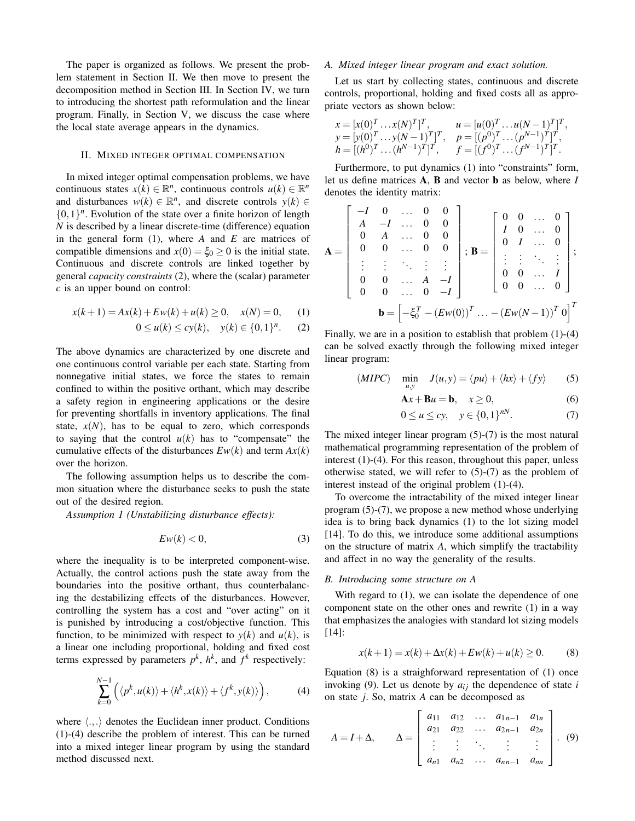The paper is organized as follows. We present the problem statement in Section II. We then move to present the decomposition method in Section III. In Section IV, we turn to introducing the shortest path reformulation and the linear program. Finally, in Section V, we discuss the case where the local state average appears in the dynamics.

#### II. MIXED INTEGER OPTIMAL COMPENSATION

In mixed integer optimal compensation problems, we have continuous states  $x(k) \in \mathbb{R}^n$ , continuous controls  $u(k) \in \mathbb{R}^n$ and disturbances  $w(k) \in \mathbb{R}^n$ , and discrete controls  $y(k) \in$  $\{0,1\}$ <sup>n</sup>. Evolution of the state over a finite horizon of length *N* is described by a linear discrete-time (difference) equation in the general form (1), where *A* and *E* are matrices of compatible dimensions and  $x(0) = \xi_0 \ge 0$  is the initial state. Continuous and discrete controls are linked together by general *capacity constraints* (2), where the (scalar) parameter *c* is an upper bound on control:

$$
x(k+1) = Ax(k) + Ew(k) + u(k) \ge 0, \quad x(N) = 0,
$$
 (1)

$$
0 \le u(k) \le cy(k), \quad y(k) \in \{0,1\}^n. \tag{2}
$$

The above dynamics are characterized by one discrete and one continuous control variable per each state. Starting from nonnegative initial states, we force the states to remain confined to within the positive orthant, which may describe a safety region in engineering applications or the desire for preventing shortfalls in inventory applications. The final state,  $x(N)$ , has to be equal to zero, which corresponds to saying that the control  $u(k)$  has to "compensate" the cumulative effects of the disturbances  $Ew(k)$  and term  $Ax(k)$ over the horizon.

The following assumption helps us to describe the common situation where the disturbance seeks to push the state out of the desired region.

*Assumption 1 (Unstabilizing disturbance effects):*

$$
Ew(k) < 0,\tag{3}
$$

where the inequality is to be interpreted component-wise. Actually, the control actions push the state away from the boundaries into the positive orthant, thus counterbalancing the destabilizing effects of the disturbances. However, controlling the system has a cost and "over acting" on it is punished by introducing a cost/objective function. This function, to be minimized with respect to  $y(k)$  and  $u(k)$ , is a linear one including proportional, holding and fixed cost terms expressed by parameters  $p^k$ ,  $h^k$ , and  $f^k$  respectively:

$$
\sum_{k=0}^{N-1} \left( \langle p^k, u(k) \rangle + \langle h^k, x(k) \rangle + \langle f^k, y(k) \rangle \right), \tag{4}
$$

where  $\langle ., . \rangle$  denotes the Euclidean inner product. Conditions (1)-(4) describe the problem of interest. This can be turned into a mixed integer linear program by using the standard method discussed next.

#### *A. Mixed integer linear program and exact solution.*

Let us start by collecting states, continuous and discrete controls, proportional, holding and fixed costs all as appropriate vectors as shown below:

$$
x = [x(0)^T ... x(N)^T]^T, \t u = [u(0)^T ... u(N-1)^T]^T,
$$
  
\n
$$
y = [y(0)^T ... y(N-1)^T]^T, \t p = [(p^0)^T ... (p^{N-1})^T]^T,
$$
  
\n
$$
h = [(h^0)^T ... (h^{N-1})^T]^T, \t f = [(f^0)^T ... (f^{N-1})^T]^T.
$$

Furthermore, to put dynamics (1) into "constraints" form, let us define matrices A, B and vector b as below, where *I* denotes the identity matrix:

$$
\mathbf{A} = \begin{bmatrix} -I & 0 & \dots & 0 & 0 \\ A & -I & \dots & 0 & 0 \\ 0 & A & \dots & 0 & 0 \\ 0 & 0 & \dots & 0 & 0 \\ \vdots & \vdots & \ddots & \vdots & \vdots \\ 0 & 0 & \dots & A & -I \\ 0 & 0 & \dots & 0 & -I \end{bmatrix}; \ \mathbf{B} = \begin{bmatrix} 0 & 0 & \dots & 0 \\ I & 0 & \dots & 0 \\ 0 & I & \dots & 0 \\ \vdots & \vdots & \ddots & \vdots \\ 0 & 0 & \dots & I \\ 0 & 0 & \dots & 0 \end{bmatrix};
$$

$$
\mathbf{b} = \begin{bmatrix} -\xi_0^T - (E_w(0))^T & \dots - (E_w(N-1))^T \, 0 \end{bmatrix}^T
$$

Finally, we are in a position to establish that problem  $(1)-(4)$ can be solved exactly through the following mixed integer linear program:

$$
(MIPC) \quad \min_{u,y} \quad J(u,y) = \langle pu \rangle + \langle hx \rangle + \langle fy \rangle \tag{5}
$$

$$
\mathbf{A}x + \mathbf{B}u = \mathbf{b}, \quad x \ge 0,
$$
 (6)

$$
0 \le u \le cy, \quad y \in \{0, 1\}^{nN}.\tag{7}
$$

The mixed integer linear program (5)-(7) is the most natural mathematical programming representation of the problem of interest (1)-(4). For this reason, throughout this paper, unless otherwise stated, we will refer to  $(5)-(7)$  as the problem of interest instead of the original problem (1)-(4).

To overcome the intractability of the mixed integer linear program (5)-(7), we propose a new method whose underlying idea is to bring back dynamics (1) to the lot sizing model [14]. To do this, we introduce some additional assumptions on the structure of matrix *A*, which simplify the tractability and affect in no way the generality of the results.

#### *B. Introducing some structure on A*

With regard to  $(1)$ , we can isolate the dependence of one component state on the other ones and rewrite (1) in a way that emphasizes the analogies with standard lot sizing models [14]:

$$
x(k+1) = x(k) + \Delta x(k) + E w(k) + u(k) \ge 0.
$$
 (8)

Equation (8) is a straighforward representation of (1) once invoking (9). Let us denote by  $a_{ij}$  the dependence of state *i* on state *j*. So, matrix *A* can be decomposed as

$$
A = I + \Delta, \qquad \Delta = \begin{bmatrix} a_{11} & a_{12} & \dots & a_{1n-1} & a_{1n} \\ a_{21} & a_{22} & \dots & a_{2n-1} & a_{2n} \\ \vdots & \vdots & \ddots & \vdots & \vdots \\ a_{n1} & a_{n2} & \dots & a_{nn-1} & a_{nn} \end{bmatrix} . \tag{9}
$$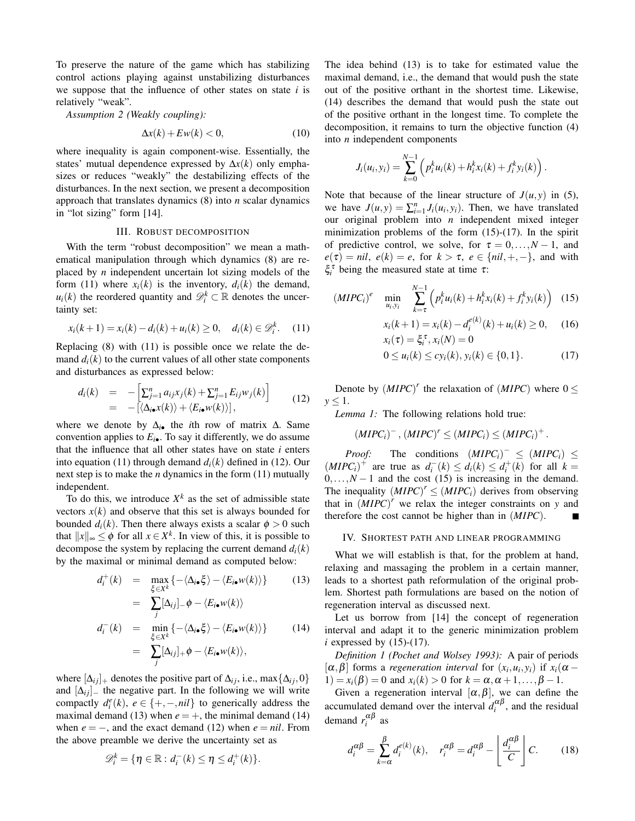To preserve the nature of the game which has stabilizing control actions playing against unstabilizing disturbances we suppose that the influence of other states on state *i* is relatively "weak".

*Assumption 2 (Weakly coupling):*

$$
\Delta x(k) + E w(k) < 0,\tag{10}
$$

where inequality is again component-wise. Essentially, the states' mutual dependence expressed by ∆*x*(*k*) only emphasizes or reduces "weakly" the destabilizing effects of the disturbances. In the next section, we present a decomposition approach that translates dynamics (8) into *n* scalar dynamics in "lot sizing" form [14].

#### III. ROBUST DECOMPOSITION

With the term "robust decomposition" we mean a mathematical manipulation through which dynamics (8) are replaced by *n* independent uncertain lot sizing models of the form (11) where  $x_i(k)$  is the inventory,  $d_i(k)$  the demand,  $u_i(k)$  the reordered quantity and  $\mathcal{D}_i^k \subset \mathbb{R}$  denotes the uncertainty set:

$$
x_i(k+1) = x_i(k) - d_i(k) + u_i(k) \ge 0, \quad d_i(k) \in \mathcal{D}_i^k. \tag{11}
$$

Replacing (8) with (11) is possible once we relate the demand  $d_i(k)$  to the current values of all other state components and disturbances as expressed below:

$$
d_i(k) = -\left[\sum_{j=1}^n a_{ij}x_j(k) + \sum_{j=1}^n E_{ij}w_j(k)\right]
$$
  
= -\left[\langle\Delta\_{i\bullet}x(k)\rangle + \langle E\_{i\bullet}w(k)\rangle\right], (12)

where we denote by ∆*i*• the *i*th row of matrix ∆. Same convention applies to  $E_{i\bullet}$ . To say it differently, we do assume that the influence that all other states have on state *i* enters into equation (11) through demand  $d_i(k)$  defined in (12). Our next step is to make the *n* dynamics in the form (11) mutually independent.

To do this, we introduce  $X^k$  as the set of admissible state vectors  $x(k)$  and observe that this set is always bounded for bounded  $d_i(k)$ . Then there always exists a scalar  $\phi > 0$  such that  $||x||_{\infty} \leq \phi$  for all  $x \in X^k$ . In view of this, it is possible to decompose the system by replacing the current demand  $d_i(k)$ by the maximal or minimal demand as computed below:

$$
d_i^+(k) = \max_{\xi \in X^k} \{ -\langle \Delta_{i\bullet} \xi \rangle - \langle E_{i\bullet} w(k) \rangle \} \qquad (13)
$$
  
\n
$$
= \sum_j [\Delta_{ij}]_- \phi - \langle E_{i\bullet} w(k) \rangle
$$
  
\n
$$
d_i^-(k) = \min_{\xi \in X^k} \{ -\langle \Delta_{i\bullet} \xi \rangle - \langle E_{i\bullet} w(k) \rangle \} \qquad (14)
$$
  
\n
$$
= \sum_j [\Delta_{ij}]_+ \phi - \langle E_{i\bullet} w(k) \rangle,
$$

where  $[\Delta_{ij}]_+$  denotes the positive part of  $\Delta_{ij}$ , i.e., max { $\Delta_{ij}$ , 0} and  $[\Delta_{ij}]$  the negative part. In the following we will write compactly  $d_i^e(k)$ ,  $e \in \{+, -, nil\}$  to generically address the maximal demand (13) when  $e = +$ , the minimal demand (14) when  $e = -$ , and the exact demand (12) when  $e = nil$ . From the above preamble we derive the uncertainty set as

$$
\mathscr{D}_i^k = \{ \eta \in \mathbb{R} : d_i^-(k) \leq \eta \leq d_i^+(k) \}.
$$

The idea behind (13) is to take for estimated value the maximal demand, i.e., the demand that would push the state out of the positive orthant in the shortest time. Likewise, (14) describes the demand that would push the state out of the positive orthant in the longest time. To complete the decomposition, it remains to turn the objective function (4) into *n* independent components

$$
J_i(u_i, y_i) = \sum_{k=0}^{N-1} \left( p_i^k u_i(k) + h_i^k x_i(k) + f_i^k y_i(k) \right).
$$

Note that because of the linear structure of  $J(u, y)$  in (5), we have  $J(u, y) = \sum_{i=1}^{n} J_i(u_i, y_i)$ . Then, we have translated our original problem into *n* independent mixed integer minimization problems of the form  $(15)-(17)$ . In the spirit of predictive control, we solve, for  $\tau = 0, \ldots, N - 1$ , and  $e(\tau) = \textit{nil}, \ e(k) = e, \text{ for } k > \tau, \ e \in \{\textit{nil}, +, -\}, \text{ and with}$  $\zeta_i^{\tau}$  being the measured state at time *τ*:

$$
(MIPC_i)^e \quad \min_{u_i, y_i} \quad \sum_{k=\tau}^{N-1} \left( p_i^k u_i(k) + h_i^k x_i(k) + f_i^k y_i(k) \right) \tag{15}
$$

$$
x_i(k+1) = x_i(k) - d_i^{e(k)}(k) + u_i(k) \ge 0,
$$
 (16)  

$$
x_i(\tau) = \xi_i^{\tau}, x_i(N) = 0
$$

$$
0 \le u_i(k) \le cy_i(k), y_i(k) \in \{0, 1\}.
$$
 (17)

Denote by  $(MIPC)^r$  the relaxation of  $(MIPC)$  where  $0 \leq$  $y < 1$ .

*Lemma 1:* The following relations hold true:

$$
(MIPC_i)^{-}, (MIPC)^{r} \leq (MIPC_i) \leq (MIPC_i)^{+}.
$$

*Proof:* The conditions  $(MIPC_i)^{-} \leq (MIPC_i) \leq$  $(MIPC_i)^+$  are true as  $d_i^-(k) \leq d_i(k) \leq d_i^+(k)$  for all  $k =$  $0, \ldots, N-1$  and the cost (15) is increasing in the demand. The inequality  $(MIPC)^r \leq (MIPC_i)$  derives from observing that in  $(MIPC)^r$  we relax the integer constraints on *y* and therefore the cost cannot be higher than in (*MIPC*).

#### IV. SHORTEST PATH AND LINEAR PROGRAMMING

What we will establish is that, for the problem at hand, relaxing and massaging the problem in a certain manner, leads to a shortest path reformulation of the original problem. Shortest path formulations are based on the notion of regeneration interval as discussed next.

Let us borrow from [14] the concept of regeneration interval and adapt it to the generic minimization problem  $i$  expressed by  $(15)-(17)$ .

*Definition 1 (Pochet and Wolsey 1993):* A pair of periods  $[\alpha, \beta]$  forms a *regeneration interval* for  $(x_i, u_i, y_i)$  if  $x_i(\alpha -$ 1) =  $x_i(\beta) = 0$  and  $x_i(k) > 0$  for  $k = \alpha, \alpha + 1, ..., \beta - 1$ .

Given a regeneration interval  $[\alpha, \beta]$ , we can define the accumulated demand over the interval  $d_i^{\alpha\beta}$ , and the residual demand  $r_i^{\alpha\beta}$  as

$$
d_i^{\alpha\beta} = \sum_{k=\alpha}^{\beta} d_i^{e(k)}(k), \quad r_i^{\alpha\beta} = d_i^{\alpha\beta} - \left\lfloor \frac{d_i^{\alpha\beta}}{C} \right\rfloor C. \tag{18}
$$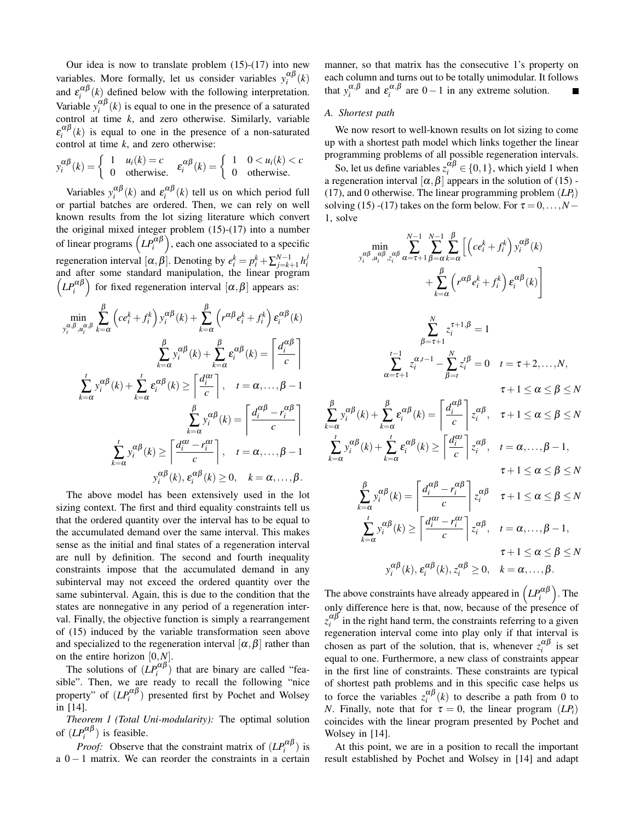Our idea is now to translate problem  $(15)-(17)$  into new variables. More formally, let us consider variables  $y_i^{\alpha\beta}(k)$ and  $\varepsilon_i^{\alpha\beta}(k)$  defined below with the following interpretation. *i* Variable  $y_i^{\alpha\beta}(k)$  is equal to one in the presence of a saturated control at time *k*, and zero otherwise. Similarly, variable  $\varepsilon_i^{\alpha\beta}(k)$  is equal to one in the presence of a non-saturated control at time *k*, and zero otherwise:

$$
y_i^{\alpha\beta}(k) = \begin{cases} 1 & u_i(k) = c \\ 0 & \text{otherwise.} \end{cases} \quad \varepsilon_i^{\alpha\beta}(k) = \begin{cases} 1 & 0 < u_i(k) < c \\ 0 & \text{otherwise.} \end{cases}
$$

Variables  $y_i^{\alpha\beta}(k)$  and  $\varepsilon_i^{\alpha\beta}(k)$  tell us on which period full or partial batches are ordered. Then, we can rely on well known results from the lot sizing literature which convert the original mixed integer problem (15)-(17) into a number of linear programs  $\left( L P_i^{\alpha \beta} \right)$ , each one associated to a specific regeneration interval  $[\alpha, \beta]$ . Denoting by  $e_i^k = p_i^k + \sum_{j=k+1}^{N-1} h_i^j$  and after some standard manipulation, the linear program  $\left( L P_i^{\alpha \beta} \right)$  for fixed regeneration interval  $\left[ \alpha, \beta \right]$  appears as:

$$
\min_{y_i^{\alpha,\beta}, u_i^{\alpha,\beta}} \sum_{k=\alpha}^{\beta} \left( ce_i^k + f_i^k \right) y_i^{\alpha\beta}(k) + \sum_{k=\alpha}^{\beta} \left( r^{\alpha\beta} e_i^k + f_i^k \right) \varepsilon_i^{\alpha\beta}(k)
$$
\n
$$
\sum_{k=\alpha}^{\beta} y_i^{\alpha\beta}(k) + \sum_{k=\alpha}^{\beta} \varepsilon_i^{\alpha\beta}(k) = \left[ \frac{d_i^{\alpha\beta}}{c} \right]
$$
\n
$$
\sum_{k=\alpha}^t y_i^{\alpha\beta}(k) + \sum_{k=\alpha}^t \varepsilon_i^{\alpha\beta}(k) \ge \left[ \frac{d_i^{\alpha\alpha}}{c} \right], \quad t = \alpha, \dots, \beta - 1
$$
\n
$$
\sum_{k=\alpha}^{\beta} y_i^{\alpha\beta}(k) = \left[ \frac{d_i^{\alpha\beta} - r_i^{\alpha\beta}}{c} \right]
$$
\n
$$
\sum_{k=\alpha}^t y_i^{\alpha\beta}(k) \ge \left[ \frac{d_i^{\alpha\alpha} - r_i^{\alpha\alpha}}{c} \right], \quad t = \alpha, \dots, \beta - 1
$$
\n
$$
y_i^{\alpha\beta}(k), \varepsilon_i^{\alpha\beta}(k) \ge 0, \quad k = \alpha, \dots, \beta.
$$

The above model has been extensively used in the lot sizing context. The first and third equality constraints tell us that the ordered quantity over the interval has to be equal to the accumulated demand over the same interval. This makes sense as the initial and final states of a regeneration interval are null by definition. The second and fourth inequality constraints impose that the accumulated demand in any subinterval may not exceed the ordered quantity over the same subinterval. Again, this is due to the condition that the states are nonnegative in any period of a regeneration interval. Finally, the objective function is simply a rearrangement of (15) induced by the variable transformation seen above and specialized to the regeneration interval  $[\alpha, \beta]$  rather than on the entire horizon [0,*N*].

The solutions of  $(LP_i^{\alpha\beta})$  that are binary are called "feasible". Then, we are ready to recall the following "nice property" of  $(LP_i^{\alpha\beta})$  presented first by Pochet and Wolsey in [14].

*Theorem 1 (Total Uni-modularity):* The optimal solution of  $(LP_i^{\alpha\beta})$  is feasible.

*Proof:* Observe that the constraint matrix of  $(LP_i^{\alpha\beta})$  is a  $0 - 1$  matrix. We can reorder the constraints in a certain manner, so that matrix has the consecutive 1's property on each column and turns out to be totally unimodular. It follows that  $y_i^{\alpha,\beta}$  and  $\varepsilon_i^{\alpha,\beta}$  are  $0-1$  in any extreme solution.

## *A. Shortest path*

β ∑

We now resort to well-known results on lot sizing to come up with a shortest path model which links together the linear programming problems of all possible regeneration intervals.

So, let us define variables  $z_i^{\alpha\beta} \in \{0,1\}$ , which yield 1 when a regeneration interval  $[\alpha, \beta]$  appears in the solution of (15) -(17), and 0 otherwise. The linear programming problem (*LPi*) solving (15) -(17) takes on the form below. For  $\tau = 0, \ldots, N -$ 1, solve

$$
\min_{\gamma_{i}^{\alpha\beta}, u_{i}^{\alpha\beta}, z_{i}^{\alpha\beta}} \sum_{\alpha=\tau+1}^{N-1} \sum_{\beta=\alpha}^{N} \sum_{k=\alpha}^{N} \left[ \left( ce_{i}^{k} + f_{i}^{k}\right) y_{i}^{\alpha\beta}(k) + \sum_{k=\alpha}^{N} \left( r^{\alpha\beta} e_{i}^{k} + f_{i}^{k}\right) \varepsilon_{i}^{\alpha\beta}(k) \right]
$$
\n
$$
\sum_{\alpha=\tau+1}^{N} z_{i}^{\tau+1,\beta} = 1
$$
\n
$$
\sum_{\alpha=\tau+1}^{N} z_{i}^{\tau+1,\beta} = 1
$$
\n
$$
\sum_{\alpha=\tau+1}^{N} z_{i}^{\tau+1,\beta} = 0 \quad t = \tau+2,...,N,
$$
\n
$$
\tau+1 \leq \alpha \leq \beta \leq N
$$
\n
$$
\sum_{k=\alpha}^{B} y_{i}^{\alpha\beta}(k) + \sum_{k=\alpha}^{B} \varepsilon_{i}^{\alpha\beta}(k) = \left[ \frac{d_{i}^{\alpha\beta}}{c} \right] z_{i}^{\alpha\beta}, \quad \tau+1 \leq \alpha \leq \beta \leq N
$$
\n
$$
\sum_{k=\alpha}^{I} y_{i}^{\alpha\beta}(k) + \sum_{k=\alpha}^{I} \varepsilon_{i}^{\alpha\beta}(k) \geq \left[ \frac{d_{i}^{\alpha\alpha}}{c} \right] z_{i}^{\alpha\beta}, \quad t = \alpha,..., \beta-1,
$$
\n
$$
\tau+1 \leq \alpha \leq \beta \leq N
$$
\n
$$
\sum_{k=\alpha}^{B} y_{i}^{\alpha\beta}(k) \geq \left[ \frac{d_{i}^{\alpha\beta} - r_{i}^{\alpha\beta}}{c} \right] z_{i}^{\alpha\beta}, \quad t = \alpha,..., \beta-1,
$$
\n
$$
\tau+1 \leq \alpha \leq \beta \leq N
$$
\n
$$
y_{i}^{\alpha\beta}(k), \varepsilon_{i}^{\alpha\beta}(k), z_{i}^{\alpha\beta} \geq 0, \quad k = \alpha,..., \beta.
$$

The above constraints have already appeared in  $\left( LP_{i}^{\alpha\beta}\right)$ . The only difference here is that, now, because of the presence of  $z_i^{\alpha\beta}$  in the right hand term, the constraints referring to a given regeneration interval come into play only if that interval is chosen as part of the solution, that is, whenever  $z_i^{\alpha\beta}$  is set equal to one. Furthermore, a new class of constraints appear in the first line of constraints. These constraints are typical of shortest path problems and in this specific case helps us to force the variables  $z_i^{\alpha\beta}(k)$  to describe a path from 0 to *N*. Finally, note that for  $\tau = 0$ , the linear program  $(LP_i)$ coincides with the linear program presented by Pochet and Wolsey in [14].

At this point, we are in a position to recall the important result established by Pochet and Wolsey in [14] and adapt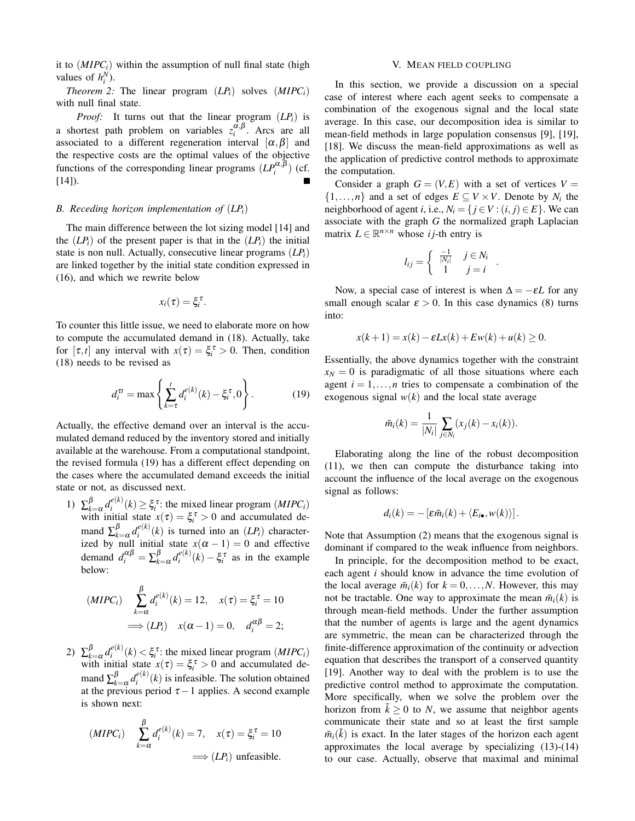it to  $(MIPC_i)$  within the assumption of null final state (high values of  $h_i^N$ ).

*Theorem 2:* The linear program  $(LP_i)$  solves  $(MIPC_i)$ with null final state.

*Proof:* It turns out that the linear program (*LPi*) is a shortest path problem on variables  $z_i^{\alpha,\beta}$ . Arcs are all associated to a different regeneration interval  $[\alpha, \beta]$  and the respective costs are the optimal values of the objective functions of the corresponding linear programs  $(LP_i^{\alpha,\beta})$  (cf. [14]).

#### *B. Receding horizon implementation of* (*LPi*)

The main difference between the lot sizing model [14] and the  $(LP_i)$  of the present paper is that in the  $(LP_i)$  the initial state is non null. Actually, consecutive linear programs (*LPi*) are linked together by the initial state condition expressed in (16), and which we rewrite below

$$
x_i(\tau)=\xi_i^{\tau}.
$$

To counter this little issue, we need to elaborate more on how to compute the accumulated demand in (18). Actually, take for  $[\tau, t]$  any interval with  $x(\tau) = \xi_i^{\tau} > 0$ . Then, condition (18) needs to be revised as

$$
d_i^{\tau t} = \max \left\{ \sum_{k=\tau}^t d_i^{e(k)}(k) - \xi_i^{\tau}, 0 \right\}.
$$
 (19)

Actually, the effective demand over an interval is the accumulated demand reduced by the inventory stored and initially available at the warehouse. From a computational standpoint, the revised formula (19) has a different effect depending on the cases where the accumulated demand exceeds the initial state or not, as discussed next.

1)  $\Sigma_k^{\beta}$  $\int_{k=\alpha}^{\beta} d_i^{e(k)}$  $\zeta_i^{e(k)}(k) \geq \xi_i^{\tau}$ : the mixed linear program (*MIPC<sub>i</sub>*) with initial state  $x(\tau) = \xi_i^{\tau} > 0$  and accumulated demand  $\sum_{k=1}^{\beta}$  $\int_{k=\alpha}^{\beta} d_i^{e(k)}$  $i^{e(k)}(k)$  is turned into an  $(LP_i)$  characterized by null initial state  $x(\alpha - 1) = 0$  and effective demand  $d_i^{\alpha\beta} = \sum_{k_i}^{\beta}$  $\int_{k=\alpha}^{\beta} d_i^{e(k)}$  $\zeta_i^{e(k)}(k) - \xi_i^{\tau}$  as in the example below:

$$
(MIPC_i) \quad \sum_{k=\alpha}^{\beta} d_i^{e(k)}(k) = 12, \quad x(\tau) = \xi_i^{\tau} = 10
$$

$$
\implies (LP_i) \quad x(\alpha - 1) = 0, \quad d_i^{\alpha\beta} = 2;
$$

2)  $\Sigma_k^{\beta}$  $\int_{k=\alpha}^{\beta} d_i^{e(k)}$  $\zeta_i^{e(k)}(k) < \xi_i^{\tau}$ : the mixed linear program (*MIPC<sub>i</sub>*) with initial state  $x(\tau) = \xi_i^{\tau} > 0$  and accumulated demand  $\sum_{k_i}^{\beta}$  $\int_{k=\alpha}^{\beta} d_i^{e(k)}$  $e^{i(k)}(k)$  is infeasible. The solution obtained at the previous period  $\tau - 1$  applies. A second example is shown next:

$$
(MIPC_i) \quad \sum_{k=\alpha}^{\beta} d_i^{e(k)}(k) = 7, \quad x(\tau) = \xi_i^{\tau} = 10
$$
\n
$$
\implies (LP_i) \text{ unfeasible.}
$$

#### V. MEAN FIELD COUPLING

In this section, we provide a discussion on a special case of interest where each agent seeks to compensate a combination of the exogenous signal and the local state average. In this case, our decomposition idea is similar to mean-field methods in large population consensus [9], [19], [18]. We discuss the mean-field approximations as well as the application of predictive control methods to approximate the computation.

Consider a graph  $G = (V, E)$  with a set of vertices  $V =$  $\{1,\ldots,n\}$  and a set of edges  $E \subseteq V \times V$ . Denote by  $N_i$  the neighborhood of agent *i*, i.e.,  $N_i = \{ j \in V : (i, j) \in E \}$ . We can associate with the graph *G* the normalized graph Laplacian matrix  $L \in \mathbb{R}^{n \times n}$  whose *i j*-th entry is

$$
l_{ij} = \begin{cases} \frac{-1}{|N_i|} & j \in N_i \\ 1 & j = i \end{cases}
$$

.

Now, a special case of interest is when  $\Delta = -\varepsilon L$  for any small enough scalar  $\epsilon > 0$ . In this case dynamics (8) turns into:

$$
x(k+1) = x(k) - \varepsilon Lx(k) + Ew(k) + u(k) \ge 0.
$$

Essentially, the above dynamics together with the constraint  $x_N = 0$  is paradigmatic of all those situations where each agent  $i = 1, \ldots, n$  tries to compensate a combination of the exogenous signal  $w(k)$  and the local state average

$$
\bar{m}_i(k) = \frac{1}{|N_i|} \sum_{j \in N_i} (x_j(k) - x_i(k)).
$$

Elaborating along the line of the robust decomposition (11), we then can compute the disturbance taking into account the influence of the local average on the exogenous signal as follows:

$$
d_i(k) = -\left[\varepsilon \bar{m}_i(k) + \langle E_{i\bullet}, w(k) \rangle\right].
$$

Note that Assumption (2) means that the exogenous signal is dominant if compared to the weak influence from neighbors.

In principle, for the decomposition method to be exact, each agent *i* should know in advance the time evolution of the local average  $\bar{m}_i(k)$  for  $k = 0, \ldots, N$ . However, this may not be tractable. One way to approximate the mean  $\bar{m}_i(k)$  is through mean-field methods. Under the further assumption that the number of agents is large and the agent dynamics are symmetric, the mean can be characterized through the finite-difference approximation of the continuity or advection equation that describes the transport of a conserved quantity [19]. Another way to deal with the problem is to use the predictive control method to approximate the computation. More specifically, when we solve the problem over the horizon from  $k > 0$  to *N*, we assume that neighbor agents communicate their state and so at least the first sample  $\bar{m}_i(\tilde{k})$  is exact. In the later stages of the horizon each agent approximates the local average by specializing (13)-(14) to our case. Actually, observe that maximal and minimal